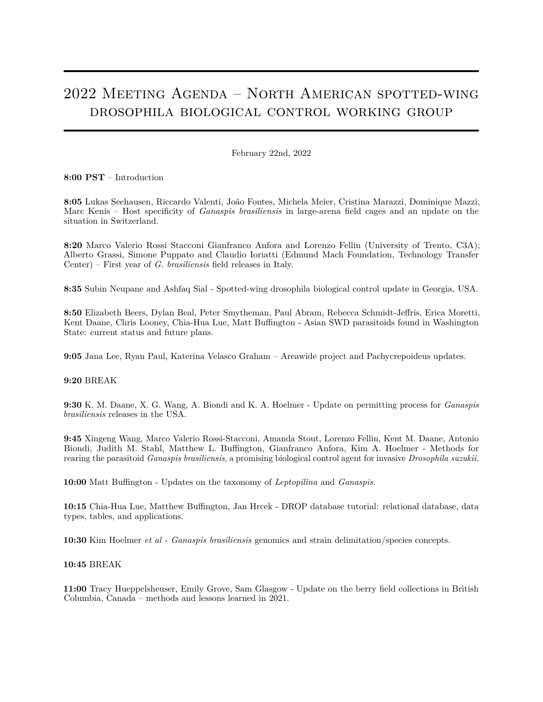# 2022 Meeting Agenda – North American spotted-wing drosophila biological control working group

February 22nd, 2022

**8:00 PST** – Introduction

**8:05** Lukas Seehausen, Riccardo Valenti, João Fontes, Michela Meier, Cristina Marazzi, Dominique Mazzi, Marc Kenis – Host specificity of *Ganaspis brasiliensis* in large-arena field cages and an update on the situation in Switzerland.

**8:20** Marco Valerio Rossi Stacconi Gianfranco Anfora and Lorenzo Fellin (University of Trento, C3A); Alberto Grassi, Simone Puppato and Claudio Ioriatti (Edmund Mach Foundation, Technology Transfer Center) – First year of *G. brasiliensis* field releases in Italy.

**8:35** Subin Neupane and Ashfaq Sial - Spotted-wing drosophila biological control update in Georgia, USA.

**8:50** Elizabeth Beers, Dylan Beal, Peter Smytheman, Paul Abram, Rebecca Schmidt-Jeffris, Erica Moretti, Kent Daane, Chris Looney, Chia-Hua Lue, Matt Buffington - Asian SWD parasitoids found in Washington State: current status and future plans.

**9:05** Jana Lee, Ryan Paul, Katerina Velasco Graham – Areawide project and Pachycrepoideus updates.

## **9:20** BREAK

**9:30** K. M. Daane, X. G. Wang, A. Biondi and K. A. Hoelmer - Update on permitting process for *Ganaspis brasiliensis* releases in the USA.

**9:45** Xingeng Wang, Marco Valerio Rossi-Stacconi, Amanda Stout, Lorenzo Fellin, Kent M. Daane, Antonio Biondi, Judith M. Stahl, Matthew L. Buffington, Gianfranco Anfora, Kim A. Hoelmer - Methods for rearing the parasitoid *Ganaspis brasiliensis*, a promising biological control agent for invasive *Drosophila suzukii*.

**10:00** Matt Buffington - Updates on the taxonomy of *Leptopilina* and *Ganaspis*.

**10:15** Chia-Hua Lue, Matthew Buffington, Jan Hrcek - DROP database tutorial: relational database, data types, tables, and applications.

**10:30** Kim Hoelmer *et al* - *Ganaspis brasiliensis* genomics and strain delimitation/species concepts.

#### **10:45** BREAK

**11:00** Tracy Hueppelsheuser, Emily Grove, Sam Glasgow - Update on the berry field collections in British Columbia, Canada – methods and lessons learned in 2021.